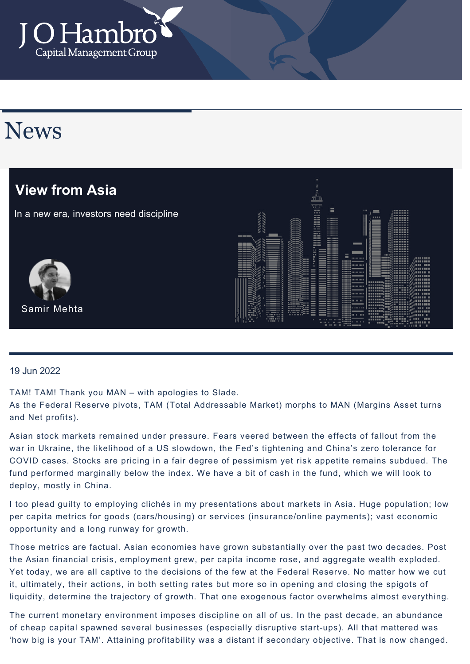

# News



### 19 Jun 2022

TAM! TAM! Thank you MAN – with apologies to Slade.

As the Federal Reserve pivots, TAM (Total Addressable Market) morphs to MAN (Margins Asset turns and Net profits).

Asian stock markets remained under pressure. Fears veered between the effects of fallout from the war in Ukraine, the likelihood of a US slowdown, the Fed's tightening and China's zero tolerance for COVID cases. Stocks are pricing in a fair degree of pessimism yet risk appetite remains subdued. The fund performed marginally below the index. We have a bit of cash in the fund, which we will look to deploy, mostly in China.

I too plead guilty to employing clichés in my presentations about markets in Asia. Huge population; low per capita metrics for goods (cars/housing) or services (insurance/online payments); vast economic opportunity and a long runway for growth.

Those metrics are factual. Asian economies have grown substantially over the past two decades. Post the Asian financial crisis, employment grew, per capita income rose, and aggregate wealth exploded. Yet today, we are all captive to the decisions of the few at the Federal Reserve. No matter how we cut it, ultimately, their actions, in both setting rates but more so in opening and closing the spigots of liquidity, determine the trajectory of growth. That one exogenous factor overwhelms almost everything.

The current monetary environment imposes discipline on all of us. In the past decade, an abundance of cheap capital spawned several businesses (especially disruptive start-ups). All that mattered was 'how big is your TAM'. Attaining profitability was a distant if secondary objective. That is now changed.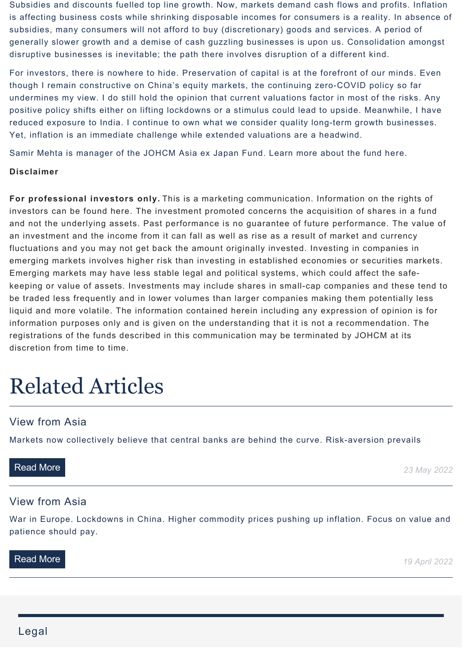Subsidies and discounts fuelled top line growth. Now, markets demand cash flows and profits. Inflation is affecting business costs while shrinking disposable incomes for consumers is a reality. In absence of subsidies, many consumers will not afford to buy (discretionary) goods and services. A period of generally slower growth and a demise of cash guzzling businesses is upon us. Consolidation amongst disruptive businesses is inevitable; the path there involves disruption of a different kind.

For investors, there is nowhere to hide. Preservation of capital is at the forefront of our minds. Even though I remain constructive on China's equity markets, the continuing zero-COVID policy so far undermines my view. I do still hold the opinion that current valuations factor in most of the risks. Any positive policy shifts either on lifting lockdowns or a stimulus could lead to upside. Meanwhile, I have reduced exposure to India. I continue to own what we consider quality long-term growth businesses. Yet, inflation is an immediate challenge while extended valuations are a headwind.

Samir Mehta is manager of the JOHCM Asia ex Japan Fund. Learn more about the fund [here.](https://www.johcm.com/uk/our-funds/fund-details-JOH-AJP/johcm-asia-ex-japan-fund)

### **Disclaimer**

**For professional investors only.** This is a marketing communication. Information on the rights of investors can be found here. The investment promoted concerns the acquisition of shares in a fund and not the underlying assets. Past performance is no guarantee of future performance. The value of an investment and the income from it can fall as well as rise as a result of market and currency fluctuations and you may not get back the amount originally invested. Investing in companies in emerging markets involves higher risk than investing in established economies or securities markets. Emerging markets may have less stable legal and political systems, which could affect the safekeeping or value of assets. Investments may include shares in small-cap companies and these tend to be traded less frequently and in lower volumes than larger companies making them potentially less liquid and more volatile. The information contained herein including any expression of opinion is for information purposes only and is given on the understanding that it is not a recommendation. The registrations of the funds described in this communication may be terminated by JOHCM at its discretion from time to time.

# Related Articles

## View from Asia

[Markets now collectively believe that central banks are behind the curve. Risk-aversion prevails](https://johcm-demo.akikodesign.com/uk/news-views/details/2654/view-from-asia)

**[Read More](https://johcm-demo.akikodesign.com/uk/news-views/details/2654/view-from-asia)** 23 May 2022

## View from Asia

[War in Europe. Lockdowns in China. Higher commodity prices pushing up inflation. Focus on value and](https://johcm-demo.akikodesign.com/uk/news-views/details/2619/view-from-asia) patience should pay.

**[Read More](https://johcm-demo.akikodesign.com/uk/news-views/details/2619/view-from-asia) 19 April 2022**